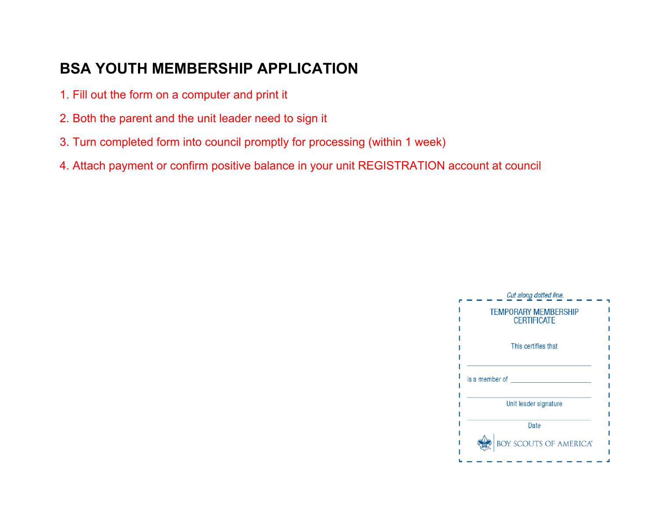## **BSA YOUTH MEMBERSHIP APPLICATION**

- 1. Fill out the form on a computer and print it
- 2. Both the parent and the unit leader need to sign it
- 3. Turn completed form into council promptly for processing (within 1 week)
- 4. Attach payment or confirm positive balance in your unit REGISTRATION account at council